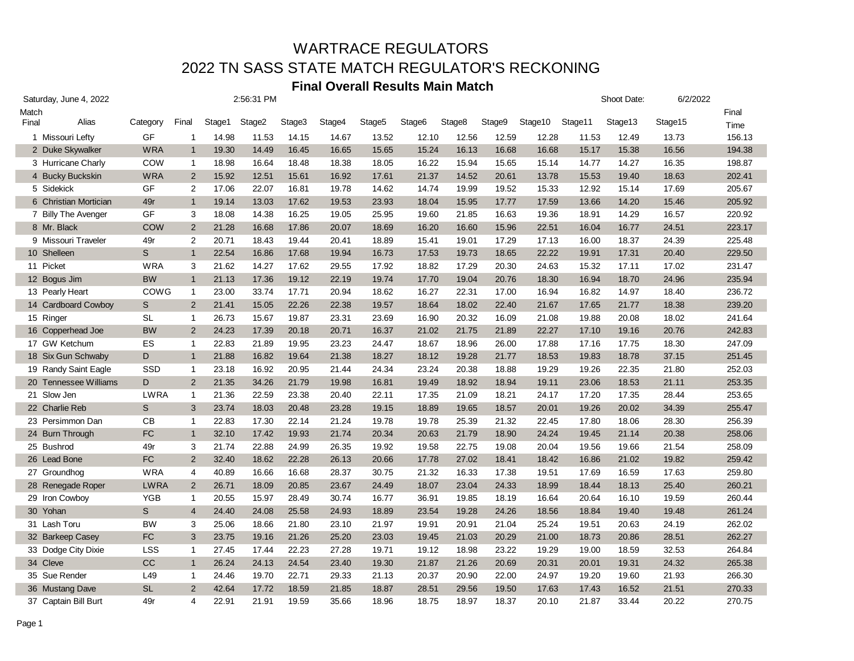|       | Saturday, June 4, 2022 |              |                |        | 2:56:31 PM |        |        |                    |                    |        |        |         |         | Shoot Date: | 6/2/2022 |        |
|-------|------------------------|--------------|----------------|--------|------------|--------|--------|--------------------|--------------------|--------|--------|---------|---------|-------------|----------|--------|
| Match |                        |              |                |        |            |        |        |                    |                    |        |        |         |         |             |          | Final  |
| Final | Alias                  | Category     | Final          | Stage1 | Stage2     | Stage3 | Stage4 | Stage <sub>5</sub> | Stage <sub>6</sub> | Stage8 | Stage9 | Stage10 | Stage11 | Stage13     | Stage15  | Time   |
|       | 1 Missouri Lefty       | GF           | $\mathbf{1}$   | 14.98  | 11.53      | 14.15  | 14.67  | 13.52              | 12.10              | 12.56  | 12.59  | 12.28   | 11.53   | 12.49       | 13.73    | 156.13 |
|       | 2 Duke Skywalker       | <b>WRA</b>   | $\mathbf{1}$   | 19.30  | 14.49      | 16.45  | 16.65  | 15.65              | 15.24              | 16.13  | 16.68  | 16.68   | 15.17   | 15.38       | 16.56    | 194.38 |
|       | 3 Hurricane Charly     | COW          | $\mathbf{1}$   | 18.98  | 16.64      | 18.48  | 18.38  | 18.05              | 16.22              | 15.94  | 15.65  | 15.14   | 14.77   | 14.27       | 16.35    | 198.87 |
|       | 4 Bucky Buckskin       | <b>WRA</b>   | $\overline{2}$ | 15.92  | 12.51      | 15.61  | 16.92  | 17.61              | 21.37              | 14.52  | 20.61  | 13.78   | 15.53   | 19.40       | 18.63    | 202.41 |
|       | 5 Sidekick             | <b>GF</b>    | 2              | 17.06  | 22.07      | 16.81  | 19.78  | 14.62              | 14.74              | 19.99  | 19.52  | 15.33   | 12.92   | 15.14       | 17.69    | 205.67 |
|       | 6 Christian Mortician  | 49r          | $\mathbf{1}$   | 19.14  | 13.03      | 17.62  | 19.53  | 23.93              | 18.04              | 15.95  | 17.77  | 17.59   | 13.66   | 14.20       | 15.46    | 205.92 |
|       | 7 Billy The Avenger    | GF           | 3              | 18.08  | 14.38      | 16.25  | 19.05  | 25.95              | 19.60              | 21.85  | 16.63  | 19.36   | 18.91   | 14.29       | 16.57    | 220.92 |
|       | 8 Mr. Black            | <b>COW</b>   | 2              | 21.28  | 16.68      | 17.86  | 20.07  | 18.69              | 16.20              | 16.60  | 15.96  | 22.51   | 16.04   | 16.77       | 24.51    | 223.17 |
|       | 9 Missouri Traveler    | 49r          | 2              | 20.71  | 18.43      | 19.44  | 20.41  | 18.89              | 15.41              | 19.01  | 17.29  | 17.13   | 16.00   | 18.37       | 24.39    | 225.48 |
|       | 10 Shelleen            | S            | $\mathbf{1}$   | 22.54  | 16.86      | 17.68  | 19.94  | 16.73              | 17.53              | 19.73  | 18.65  | 22.22   | 19.91   | 17.31       | 20.40    | 229.50 |
|       | 11 Picket              | <b>WRA</b>   | 3              | 21.62  | 14.27      | 17.62  | 29.55  | 17.92              | 18.82              | 17.29  | 20.30  | 24.63   | 15.32   | 17.11       | 17.02    | 231.47 |
|       | 12 Bogus Jim           | <b>BW</b>    | $\mathbf{1}$   | 21.13  | 17.36      | 19.12  | 22.19  | 19.74              | 17.70              | 19.04  | 20.76  | 18.30   | 16.94   | 18.70       | 24.96    | 235.94 |
|       | 13 Pearly Heart        | <b>COWG</b>  | $\mathbf{1}$   | 23.00  | 33.74      | 17.71  | 20.94  | 18.62              | 16.27              | 22.31  | 17.00  | 16.94   | 16.82   | 14.97       | 18.40    | 236.72 |
|       | 14 Cardboard Cowboy    | $\mathbb S$  | 2              | 21.41  | 15.05      | 22.26  | 22.38  | 19.57              | 18.64              | 18.02  | 22.40  | 21.67   | 17.65   | 21.77       | 18.38    | 239.20 |
|       | 15 Ringer              | <b>SL</b>    | $\mathbf{1}$   | 26.73  | 15.67      | 19.87  | 23.31  | 23.69              | 16.90              | 20.32  | 16.09  | 21.08   | 19.88   | 20.08       | 18.02    | 241.64 |
|       | 16 Copperhead Joe      | <b>BW</b>    | 2              | 24.23  | 17.39      | 20.18  | 20.71  | 16.37              | 21.02              | 21.75  | 21.89  | 22.27   | 17.10   | 19.16       | 20.76    | 242.83 |
|       | 17 GW Ketchum          | <b>ES</b>    | $\mathbf{1}$   | 22.83  | 21.89      | 19.95  | 23.23  | 24.47              | 18.67              | 18.96  | 26.00  | 17.88   | 17.16   | 17.75       | 18.30    | 247.09 |
|       | 18 Six Gun Schwaby     | D            | $\mathbf{1}$   | 21.88  | 16.82      | 19.64  | 21.38  | 18.27              | 18.12              | 19.28  | 21.77  | 18.53   | 19.83   | 18.78       | 37.15    | 251.45 |
|       | 19 Randy Saint Eagle   | <b>SSD</b>   | $\mathbf{1}$   | 23.18  | 16.92      | 20.95  | 21.44  | 24.34              | 23.24              | 20.38  | 18.88  | 19.29   | 19.26   | 22.35       | 21.80    | 252.03 |
|       | 20 Tennessee Williams  | D            | 2              | 21.35  | 34.26      | 21.79  | 19.98  | 16.81              | 19.49              | 18.92  | 18.94  | 19.11   | 23.06   | 18.53       | 21.11    | 253.35 |
|       | 21 Slow Jen            | <b>LWRA</b>  | $\mathbf{1}$   | 21.36  | 22.59      | 23.38  | 20.40  | 22.11              | 17.35              | 21.09  | 18.21  | 24.17   | 17.20   | 17.35       | 28.44    | 253.65 |
|       | 22 Charlie Reb         | S            | 3              | 23.74  | 18.03      | 20.48  | 23.28  | 19.15              | 18.89              | 19.65  | 18.57  | 20.01   | 19.26   | 20.02       | 34.39    | 255.47 |
|       | 23 Persimmon Dan       | СB           | $\mathbf{1}$   | 22.83  | 17.30      | 22.14  | 21.24  | 19.78              | 19.78              | 25.39  | 21.32  | 22.45   | 17.80   | 18.06       | 28.30    | 256.39 |
|       | 24 Burn Through        | FC           | $\mathbf{1}$   | 32.10  | 17.42      | 19.93  | 21.74  | 20.34              | 20.63              | 21.79  | 18.90  | 24.24   | 19.45   | 21.14       | 20.38    | 258.06 |
|       | 25 Bushrod             | 49r          | 3              | 21.74  | 22.88      | 24.99  | 26.35  | 19.92              | 19.58              | 22.75  | 19.08  | 20.04   | 19.56   | 19.66       | 21.54    | 258.09 |
|       | 26 Lead Bone           | FC           | 2              | 32.40  | 18.62      | 22.28  | 26.13  | 20.66              | 17.78              | 27.02  | 18.41  | 18.42   | 16.86   | 21.02       | 19.82    | 259.42 |
|       | 27 Groundhog           | <b>WRA</b>   | 4              | 40.89  | 16.66      | 16.68  | 28.37  | 30.75              | 21.32              | 16.33  | 17.38  | 19.51   | 17.69   | 16.59       | 17.63    | 259.80 |
|       | 28 Renegade Roper      | <b>LWRA</b>  | 2              | 26.71  | 18.09      | 20.85  | 23.67  | 24.49              | 18.07              | 23.04  | 24.33  | 18.99   | 18.44   | 18.13       | 25.40    | 260.21 |
|       | 29 Iron Cowboy         | <b>YGB</b>   | $\mathbf{1}$   | 20.55  | 15.97      | 28.49  | 30.74  | 16.77              | 36.91              | 19.85  | 18.19  | 16.64   | 20.64   | 16.10       | 19.59    | 260.44 |
|       | 30 Yohan               | $\mathsf{S}$ | $\overline{4}$ | 24.40  | 24.08      | 25.58  | 24.93  | 18.89              | 23.54              | 19.28  | 24.26  | 18.56   | 18.84   | 19.40       | 19.48    | 261.24 |
|       | 31 Lash Toru           | <b>BW</b>    | 3              | 25.06  | 18.66      | 21.80  | 23.10  | 21.97              | 19.91              | 20.91  | 21.04  | 25.24   | 19.51   | 20.63       | 24.19    | 262.02 |
|       | 32 Barkeep Casey       | ${\sf FC}$   | 3              | 23.75  | 19.16      | 21.26  | 25.20  | 23.03              | 19.45              | 21.03  | 20.29  | 21.00   | 18.73   | 20.86       | 28.51    | 262.27 |
|       | 33 Dodge City Dixie    | <b>LSS</b>   | $\mathbf{1}$   | 27.45  | 17.44      | 22.23  | 27.28  | 19.71              | 19.12              | 18.98  | 23.22  | 19.29   | 19.00   | 18.59       | 32.53    | 264.84 |
|       | 34 Cleve               | <b>CC</b>    | $\mathbf{1}$   | 26.24  | 24.13      | 24.54  | 23.40  | 19.30              | 21.87              | 21.26  | 20.69  | 20.31   | 20.01   | 19.31       | 24.32    | 265.38 |
|       | 35 Sue Render          | L49          | $\mathbf{1}$   | 24.46  | 19.70      | 22.71  | 29.33  | 21.13              | 20.37              | 20.90  | 22.00  | 24.97   | 19.20   | 19.60       | 21.93    | 266.30 |
|       | 36 Mustang Dave        | <b>SL</b>    | 2              | 42.64  | 17.72      | 18.59  | 21.85  | 18.87              | 28.51              | 29.56  | 19.50  | 17.63   | 17.43   | 16.52       | 21.51    | 270.33 |
|       | 37 Captain Bill Burt   | 49r          | $\overline{4}$ | 22.91  | 21.91      | 19.59  | 35.66  | 18.96              | 18.75              | 18.97  | 18.37  | 20.10   | 21.87   | 33.44       | 20.22    | 270.75 |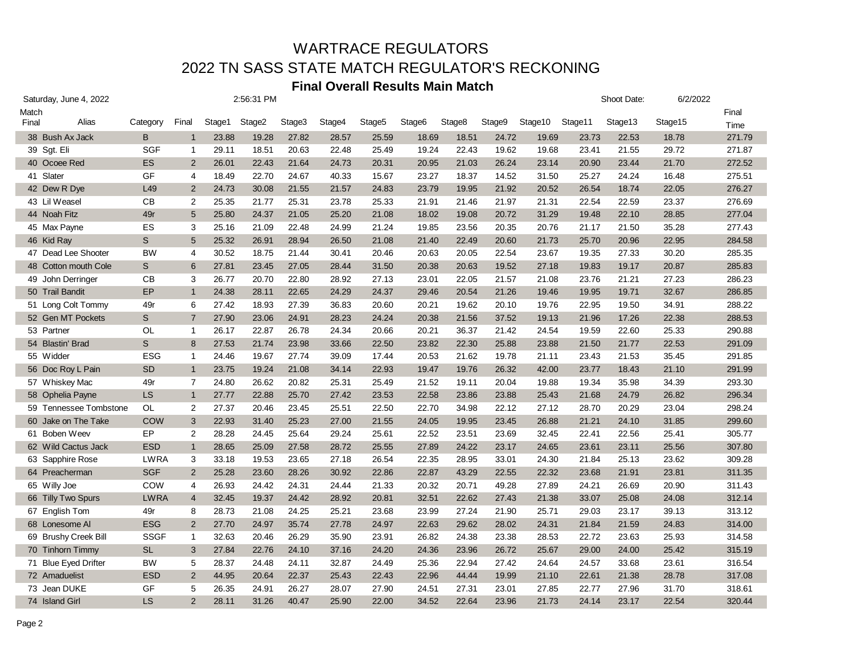|           | Saturday, June 4, 2022 |              |                |        | 2:56:31 PM |        |        |                    |        |        |        |         |         | Shoot Date: | 6/2/2022 |        |
|-----------|------------------------|--------------|----------------|--------|------------|--------|--------|--------------------|--------|--------|--------|---------|---------|-------------|----------|--------|
| Match     |                        |              |                |        |            |        |        |                    |        |        |        |         |         |             |          | Final  |
| Final     | Alias                  | Category     | Final          | Stage1 | Stage2     | Stage3 | Stage4 | Stage <sub>5</sub> | Stage6 | Stage8 | Stage9 | Stage10 | Stage11 | Stage13     | Stage15  | Time   |
|           | 38 Bush Ax Jack        | B            | $\mathbf{1}$   | 23.88  | 19.28      | 27.82  | 28.57  | 25.59              | 18.69  | 18.51  | 24.72  | 19.69   | 23.73   | 22.53       | 18.78    | 271.79 |
|           | 39 Sgt. Eli            | <b>SGF</b>   | $\mathbf{1}$   | 29.11  | 18.51      | 20.63  | 22.48  | 25.49              | 19.24  | 22.43  | 19.62  | 19.68   | 23.41   | 21.55       | 29.72    | 271.87 |
|           | 40 Ocoee Red           | <b>ES</b>    | 2              | 26.01  | 22.43      | 21.64  | 24.73  | 20.31              | 20.95  | 21.03  | 26.24  | 23.14   | 20.90   | 23.44       | 21.70    | 272.52 |
| 41 Slater |                        | GF           | 4              | 18.49  | 22.70      | 24.67  | 40.33  | 15.67              | 23.27  | 18.37  | 14.52  | 31.50   | 25.27   | 24.24       | 16.48    | 275.51 |
|           | 42 Dew R Dye           | L49          | 2              | 24.73  | 30.08      | 21.55  | 21.57  | 24.83              | 23.79  | 19.95  | 21.92  | 20.52   | 26.54   | 18.74       | 22.05    | 276.27 |
|           | 43 Lil Weasel          | CВ           | $\overline{2}$ | 25.35  | 21.77      | 25.31  | 23.78  | 25.33              | 21.91  | 21.46  | 21.97  | 21.31   | 22.54   | 22.59       | 23.37    | 276.69 |
|           | 44 Noah Fitz           | 49r          | 5              | 25.80  | 24.37      | 21.05  | 25.20  | 21.08              | 18.02  | 19.08  | 20.72  | 31.29   | 19.48   | 22.10       | 28.85    | 277.04 |
|           | 45 Max Payne           | ES           | 3              | 25.16  | 21.09      | 22.48  | 24.99  | 21.24              | 19.85  | 23.56  | 20.35  | 20.76   | 21.17   | 21.50       | 35.28    | 277.43 |
|           | 46 Kid Ray             | S            | 5              | 25.32  | 26.91      | 28.94  | 26.50  | 21.08              | 21.40  | 22.49  | 20.60  | 21.73   | 25.70   | 20.96       | 22.95    | 284.58 |
|           | 47 Dead Lee Shooter    | <b>BW</b>    | 4              | 30.52  | 18.75      | 21.44  | 30.41  | 20.46              | 20.63  | 20.05  | 22.54  | 23.67   | 19.35   | 27.33       | 30.20    | 285.35 |
|           | 48 Cotton mouth Cole   | S            | 6              | 27.81  | 23.45      | 27.05  | 28.44  | 31.50              | 20.38  | 20.63  | 19.52  | 27.18   | 19.83   | 19.17       | 20.87    | 285.83 |
|           | 49 John Derringer      | СB           | 3              | 26.77  | 20.70      | 22.80  | 28.92  | 27.13              | 23.01  | 22.05  | 21.57  | 21.08   | 23.76   | 21.21       | 27.23    | 286.23 |
|           | 50 Trail Bandit        | EP           | $\mathbf{1}$   | 24.38  | 28.11      | 22.65  | 24.29  | 24.37              | 29.46  | 20.54  | 21.26  | 19.46   | 19.95   | 19.71       | 32.67    | 286.85 |
|           | 51 Long Colt Tommy     | 49r          | 6              | 27.42  | 18.93      | 27.39  | 36.83  | 20.60              | 20.21  | 19.62  | 20.10  | 19.76   | 22.95   | 19.50       | 34.91    | 288.22 |
|           | 52 Gen MT Pockets      | S            | $\overline{7}$ | 27.90  | 23.06      | 24.91  | 28.23  | 24.24              | 20.38  | 21.56  | 37.52  | 19.13   | 21.96   | 17.26       | 22.38    | 288.53 |
|           | 53 Partner             | OL           | $\mathbf{1}$   | 26.17  | 22.87      | 26.78  | 24.34  | 20.66              | 20.21  | 36.37  | 21.42  | 24.54   | 19.59   | 22.60       | 25.33    | 290.88 |
|           | 54 Blastin' Brad       | $\mathsf{S}$ | 8              | 27.53  | 21.74      | 23.98  | 33.66  | 22.50              | 23.82  | 22.30  | 25.88  | 23.88   | 21.50   | 21.77       | 22.53    | 291.09 |
|           | 55 Widder              | <b>ESG</b>   | $\mathbf{1}$   | 24.46  | 19.67      | 27.74  | 39.09  | 17.44              | 20.53  | 21.62  | 19.78  | 21.11   | 23.43   | 21.53       | 35.45    | 291.85 |
|           | 56 Doc Roy L Pain      | <b>SD</b>    | $\mathbf{1}$   | 23.75  | 19.24      | 21.08  | 34.14  | 22.93              | 19.47  | 19.76  | 26.32  | 42.00   | 23.77   | 18.43       | 21.10    | 291.99 |
|           | 57 Whiskey Mac         | 49r          | $\overline{7}$ | 24.80  | 26.62      | 20.82  | 25.31  | 25.49              | 21.52  | 19.11  | 20.04  | 19.88   | 19.34   | 35.98       | 34.39    | 293.30 |
|           | 58 Ophelia Payne       | LS           | $\mathbf{1}$   | 27.77  | 22.88      | 25.70  | 27.42  | 23.53              | 22.58  | 23.86  | 23.88  | 25.43   | 21.68   | 24.79       | 26.82    | 296.34 |
|           | 59 Tennessee Tombstone | OL           | $\overline{2}$ | 27.37  | 20.46      | 23.45  | 25.51  | 22.50              | 22.70  | 34.98  | 22.12  | 27.12   | 28.70   | 20.29       | 23.04    | 298.24 |
|           | 60 Jake on The Take    | <b>COW</b>   | 3              | 22.93  | 31.40      | 25.23  | 27.00  | 21.55              | 24.05  | 19.95  | 23.45  | 26.88   | 21.21   | 24.10       | 31.85    | 299.60 |
|           | 61 Boben Weev          | EP           | 2              | 28.28  | 24.45      | 25.64  | 29.24  | 25.61              | 22.52  | 23.51  | 23.69  | 32.45   | 22.41   | 22.56       | 25.41    | 305.77 |
|           | 62 Wild Cactus Jack    | <b>ESD</b>   | $\mathbf{1}$   | 28.65  | 25.09      | 27.58  | 28.72  | 25.55              | 27.89  | 24.22  | 23.17  | 24.65   | 23.61   | 23.11       | 25.56    | 307.80 |
|           | 63 Sapphire Rose       | LWRA         | 3              | 33.18  | 19.53      | 23.65  | 27.18  | 26.54              | 22.35  | 28.95  | 33.01  | 24.30   | 21.84   | 25.13       | 23.62    | 309.28 |
|           | 64 Preacherman         | <b>SGF</b>   | 2              | 25.28  | 23.60      | 28.26  | 30.92  | 22.86              | 22.87  | 43.29  | 22.55  | 22.32   | 23.68   | 21.91       | 23.81    | 311.35 |
|           | 65 Willy Joe           | COW          | 4              | 26.93  | 24.42      | 24.31  | 24.44  | 21.33              | 20.32  | 20.71  | 49.28  | 27.89   | 24.21   | 26.69       | 20.90    | 311.43 |
|           | 66 Tilly Two Spurs     | <b>LWRA</b>  | $\overline{4}$ | 32.45  | 19.37      | 24.42  | 28.92  | 20.81              | 32.51  | 22.62  | 27.43  | 21.38   | 33.07   | 25.08       | 24.08    | 312.14 |
|           | 67 English Tom         | 49r          | 8              | 28.73  | 21.08      | 24.25  | 25.21  | 23.68              | 23.99  | 27.24  | 21.90  | 25.71   | 29.03   | 23.17       | 39.13    | 313.12 |
|           | 68 Lonesome Al         | <b>ESG</b>   | 2              | 27.70  | 24.97      | 35.74  | 27.78  | 24.97              | 22.63  | 29.62  | 28.02  | 24.31   | 21.84   | 21.59       | 24.83    | 314.00 |
|           | 69 Brushy Creek Bill   | <b>SSGF</b>  | $\mathbf{1}$   | 32.63  | 20.46      | 26.29  | 35.90  | 23.91              | 26.82  | 24.38  | 23.38  | 28.53   | 22.72   | 23.63       | 25.93    | 314.58 |
|           | 70 Tinhorn Timmy       | <b>SL</b>    | 3              | 27.84  | 22.76      | 24.10  | 37.16  | 24.20              | 24.36  | 23.96  | 26.72  | 25.67   | 29.00   | 24.00       | 25.42    | 315.19 |
|           | 71 Blue Eyed Drifter   | <b>BW</b>    | 5              | 28.37  | 24.48      | 24.11  | 32.87  | 24.49              | 25.36  | 22.94  | 27.42  | 24.64   | 24.57   | 33.68       | 23.61    | 316.54 |
|           | 72 Amaduelist          | <b>ESD</b>   | 2              | 44.95  | 20.64      | 22.37  | 25.43  | 22.43              | 22.96  | 44.44  | 19.99  | 21.10   | 22.61   | 21.38       | 28.78    | 317.08 |
|           | 73 Jean DUKE           | GF           | 5              | 26.35  | 24.91      | 26.27  | 28.07  | 27.90              | 24.51  | 27.31  | 23.01  | 27.85   | 22.77   | 27.96       | 31.70    | 318.61 |
|           | 74 Island Girl         | <b>LS</b>    | $\overline{2}$ | 28.11  | 31.26      | 40.47  | 25.90  | 22.00              | 34.52  | 22.64  | 23.96  | 21.73   | 24.14   | 23.17       | 22.54    | 320.44 |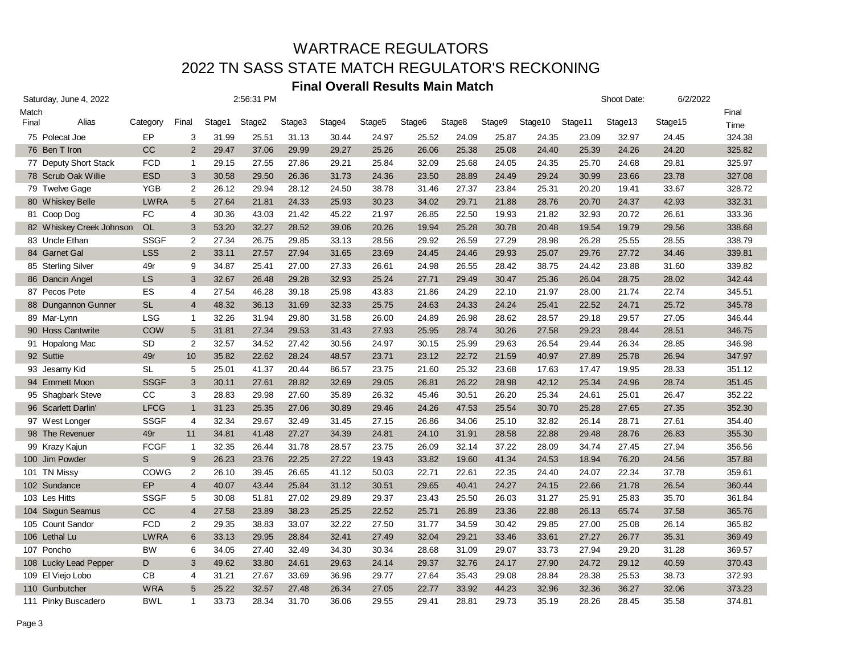|       | Saturday, June 4, 2022   | 2:56:31 PM  |                 |        |        |        |        |                    |                    |        |        |         |         |         | 6/2/2022 |        |
|-------|--------------------------|-------------|-----------------|--------|--------|--------|--------|--------------------|--------------------|--------|--------|---------|---------|---------|----------|--------|
| Match |                          |             |                 |        |        |        |        |                    |                    |        |        |         |         |         |          | Final  |
| Final | Alias                    | Category    | Final           | Stage1 | Stage2 | Stage3 | Stage4 | Stage <sub>5</sub> | Stage <sub>6</sub> | Stage8 | Stage9 | Stage10 | Stage11 | Stage13 | Stage15  | Time   |
|       | 75 Polecat Joe           | EP          | 3               | 31.99  | 25.51  | 31.13  | 30.44  | 24.97              | 25.52              | 24.09  | 25.87  | 24.35   | 23.09   | 32.97   | 24.45    | 324.38 |
|       | 76 Ben T Iron            | cc          | 2               | 29.47  | 37.06  | 29.99  | 29.27  | 25.26              | 26.06              | 25.38  | 25.08  | 24.40   | 25.39   | 24.26   | 24.20    | 325.82 |
|       | 77 Deputy Short Stack    | <b>FCD</b>  | $\mathbf{1}$    | 29.15  | 27.55  | 27.86  | 29.21  | 25.84              | 32.09              | 25.68  | 24.05  | 24.35   | 25.70   | 24.68   | 29.81    | 325.97 |
|       | 78 Scrub Oak Willie      | <b>ESD</b>  | 3               | 30.58  | 29.50  | 26.36  | 31.73  | 24.36              | 23.50              | 28.89  | 24.49  | 29.24   | 30.99   | 23.66   | 23.78    | 327.08 |
|       | 79 Twelve Gage           | <b>YGB</b>  | 2               | 26.12  | 29.94  | 28.12  | 24.50  | 38.78              | 31.46              | 27.37  | 23.84  | 25.31   | 20.20   | 19.41   | 33.67    | 328.72 |
|       | 80 Whiskey Belle         | <b>LWRA</b> | $5\phantom{.0}$ | 27.64  | 21.81  | 24.33  | 25.93  | 30.23              | 34.02              | 29.71  | 21.88  | 28.76   | 20.70   | 24.37   | 42.93    | 332.31 |
|       | 81 Coop Dog              | FC          | 4               | 30.36  | 43.03  | 21.42  | 45.22  | 21.97              | 26.85              | 22.50  | 19.93  | 21.82   | 32.93   | 20.72   | 26.61    | 333.36 |
|       | 82 Whiskey Creek Johnson | <b>OL</b>   | 3               | 53.20  | 32.27  | 28.52  | 39.06  | 20.26              | 19.94              | 25.28  | 30.78  | 20.48   | 19.54   | 19.79   | 29.56    | 338.68 |
|       | 83 Uncle Ethan           | <b>SSGF</b> | 2               | 27.34  | 26.75  | 29.85  | 33.13  | 28.56              | 29.92              | 26.59  | 27.29  | 28.98   | 26.28   | 25.55   | 28.55    | 338.79 |
|       | 84 Garnet Gal            | <b>LSS</b>  | 2               | 33.11  | 27.57  | 27.94  | 31.65  | 23.69              | 24.45              | 24.46  | 29.93  | 25.07   | 29.76   | 27.72   | 34.46    | 339.81 |
|       | 85 Sterling Silver       | 49r         | 9               | 34.87  | 25.41  | 27.00  | 27.33  | 26.61              | 24.98              | 26.55  | 28.42  | 38.75   | 24.42   | 23.88   | 31.60    | 339.82 |
|       | 86 Dancin Angel          | <b>LS</b>   | 3               | 32.67  | 26.48  | 29.28  | 32.93  | 25.24              | 27.71              | 29.49  | 30.47  | 25.36   | 26.04   | 28.75   | 28.02    | 342.44 |
|       | 87 Pecos Pete            | <b>ES</b>   | $\overline{4}$  | 27.54  | 46.28  | 39.18  | 25.98  | 43.83              | 21.86              | 24.29  | 22.10  | 21.97   | 28.00   | 21.74   | 22.74    | 345.51 |
|       | 88 Dungannon Gunner      | <b>SL</b>   | $\overline{4}$  | 48.32  | 36.13  | 31.69  | 32.33  | 25.75              | 24.63              | 24.33  | 24.24  | 25.41   | 22.52   | 24.71   | 25.72    | 345.78 |
|       | 89 Mar-Lynn              | <b>LSG</b>  | $\mathbf{1}$    | 32.26  | 31.94  | 29.80  | 31.58  | 26.00              | 24.89              | 26.98  | 28.62  | 28.57   | 29.18   | 29.57   | 27.05    | 346.44 |
|       | 90 Hoss Cantwrite        | COW         | 5               | 31.81  | 27.34  | 29.53  | 31.43  | 27.93              | 25.95              | 28.74  | 30.26  | 27.58   | 29.23   | 28.44   | 28.51    | 346.75 |
|       | 91 Hopalong Mac          | <b>SD</b>   | 2               | 32.57  | 34.52  | 27.42  | 30.56  | 24.97              | 30.15              | 25.99  | 29.63  | 26.54   | 29.44   | 26.34   | 28.85    | 346.98 |
|       | 92 Suttie                | 49r         | 10 <sup>1</sup> | 35.82  | 22.62  | 28.24  | 48.57  | 23.71              | 23.12              | 22.72  | 21.59  | 40.97   | 27.89   | 25.78   | 26.94    | 347.97 |
|       | 93 Jesamy Kid            | <b>SL</b>   | 5               | 25.01  | 41.37  | 20.44  | 86.57  | 23.75              | 21.60              | 25.32  | 23.68  | 17.63   | 17.47   | 19.95   | 28.33    | 351.12 |
|       | 94 Emmett Moon           | <b>SSGF</b> | 3               | 30.11  | 27.61  | 28.82  | 32.69  | 29.05              | 26.81              | 26.22  | 28.98  | 42.12   | 25.34   | 24.96   | 28.74    | 351.45 |
|       | 95 Shagbark Steve        | CC          | 3               | 28.83  | 29.98  | 27.60  | 35.89  | 26.32              | 45.46              | 30.51  | 26.20  | 25.34   | 24.61   | 25.01   | 26.47    | 352.22 |
|       | 96 Scarlett Darlin'      | <b>LFCG</b> | $\mathbf{1}$    | 31.23  | 25.35  | 27.06  | 30.89  | 29.46              | 24.26              | 47.53  | 25.54  | 30.70   | 25.28   | 27.65   | 27.35    | 352.30 |
|       | 97 West Longer           | <b>SSGF</b> | 4               | 32.34  | 29.67  | 32.49  | 31.45  | 27.15              | 26.86              | 34.06  | 25.10  | 32.82   | 26.14   | 28.71   | 27.61    | 354.40 |
|       | 98 The Revenuer          | 49r         | 11              | 34.81  | 41.48  | 27.27  | 34.39  | 24.81              | 24.10              | 31.91  | 28.58  | 22.88   | 29.48   | 28.76   | 26.83    | 355.30 |
|       | 99 Krazy Kajun           | <b>FCGF</b> | $\mathbf{1}$    | 32.35  | 26.44  | 31.78  | 28.57  | 23.75              | 26.09              | 32.14  | 37.22  | 28.09   | 34.74   | 27.45   | 27.94    | 356.56 |
|       | 100 Jim Powder           | S           | 9               | 26.23  | 23.76  | 22.25  | 27.22  | 19.43              | 33.82              | 19.60  | 41.34  | 24.53   | 18.94   | 76.20   | 24.56    | 357.88 |
|       | 101 TN Missy             | COWG        | 2               | 26.10  | 39.45  | 26.65  | 41.12  | 50.03              | 22.71              | 22.61  | 22.35  | 24.40   | 24.07   | 22.34   | 37.78    | 359.61 |
|       | 102 Sundance             | EP          | $\overline{4}$  | 40.07  | 43.44  | 25.84  | 31.12  | 30.51              | 29.65              | 40.41  | 24.27  | 24.15   | 22.66   | 21.78   | 26.54    | 360.44 |
|       | 103 Les Hitts            | <b>SSGF</b> | 5               | 30.08  | 51.81  | 27.02  | 29.89  | 29.37              | 23.43              | 25.50  | 26.03  | 31.27   | 25.91   | 25.83   | 35.70    | 361.84 |
|       | 104 Sixgun Seamus        | CC          | $\overline{4}$  | 27.58  | 23.89  | 38.23  | 25.25  | 22.52              | 25.71              | 26.89  | 23.36  | 22.88   | 26.13   | 65.74   | 37.58    | 365.76 |
|       | 105 Count Sandor         | <b>FCD</b>  | $\overline{2}$  | 29.35  | 38.83  | 33.07  | 32.22  | 27.50              | 31.77              | 34.59  | 30.42  | 29.85   | 27.00   | 25.08   | 26.14    | 365.82 |
|       | 106 Lethal Lu            | <b>LWRA</b> | 6               | 33.13  | 29.95  | 28.84  | 32.41  | 27.49              | 32.04              | 29.21  | 33.46  | 33.61   | 27.27   | 26.77   | 35.31    | 369.49 |
|       | 107 Poncho               | <b>BW</b>   | 6               | 34.05  | 27.40  | 32.49  | 34.30  | 30.34              | 28.68              | 31.09  | 29.07  | 33.73   | 27.94   | 29.20   | 31.28    | 369.57 |
|       | 108 Lucky Lead Pepper    | D           | 3               | 49.62  | 33.80  | 24.61  | 29.63  | 24.14              | 29.37              | 32.76  | 24.17  | 27.90   | 24.72   | 29.12   | 40.59    | 370.43 |
|       | 109 El Viejo Lobo        | <b>CB</b>   | $\overline{4}$  | 31.21  | 27.67  | 33.69  | 36.96  | 29.77              | 27.64              | 35.43  | 29.08  | 28.84   | 28.38   | 25.53   | 38.73    | 372.93 |
|       | 110 Gunbutcher           | <b>WRA</b>  | 5               | 25.22  | 32.57  | 27.48  | 26.34  | 27.05              | 22.77              | 33.92  | 44.23  | 32.96   | 32.36   | 36.27   | 32.06    | 373.23 |
|       | 111 Pinky Buscadero      | <b>BWL</b>  | $\mathbf{1}$    | 33.73  | 28.34  | 31.70  | 36.06  | 29.55              | 29.41              | 28.81  | 29.73  | 35.19   | 28.26   | 28.45   | 35.58    | 374.81 |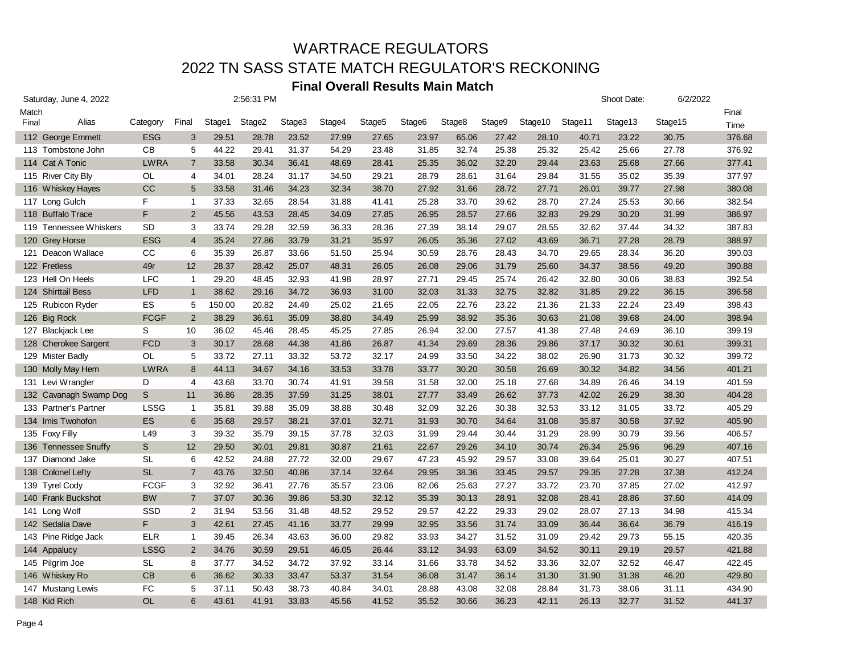|       | Saturday, June 4, 2022 |             |                |        | 2:56:31 PM         |        |        |        |                    |        |        |         |         | Shoot Date: | 6/2/2022 |        |
|-------|------------------------|-------------|----------------|--------|--------------------|--------|--------|--------|--------------------|--------|--------|---------|---------|-------------|----------|--------|
| Match |                        |             |                |        |                    |        |        |        |                    |        |        |         |         |             |          | Final  |
| Final | Alias                  | Category    | Final          | Stage1 | Stage <sub>2</sub> | Stage3 | Stage4 | Stage5 | Stage <sub>6</sub> | Stage8 | Stage9 | Stage10 | Stage11 | Stage13     | Stage15  | Time   |
|       | 112 George Emmett      | <b>ESG</b>  | 3              | 29.51  | 28.78              | 23.52  | 27.99  | 27.65  | 23.97              | 65.06  | 27.42  | 28.10   | 40.71   | 23.22       | 30.75    | 376.68 |
|       | 113 Tombstone John     | <b>CB</b>   | 5              | 44.22  | 29.41              | 31.37  | 54.29  | 23.48  | 31.85              | 32.74  | 25.38  | 25.32   | 25.42   | 25.66       | 27.78    | 376.92 |
|       | 114 Cat A Tonic        | <b>LWRA</b> | $\overline{7}$ | 33.58  | 30.34              | 36.41  | 48.69  | 28.41  | 25.35              | 36.02  | 32.20  | 29.44   | 23.63   | 25.68       | 27.66    | 377.41 |
|       | 115 River City Bly     | OL          | 4              | 34.01  | 28.24              | 31.17  | 34.50  | 29.21  | 28.79              | 28.61  | 31.64  | 29.84   | 31.55   | 35.02       | 35.39    | 377.97 |
|       | 116 Whiskey Hayes      | cc          | 5              | 33.58  | 31.46              | 34.23  | 32.34  | 38.70  | 27.92              | 31.66  | 28.72  | 27.71   | 26.01   | 39.77       | 27.98    | 380.08 |
|       | 117 Long Gulch         | F           | 1              | 37.33  | 32.65              | 28.54  | 31.88  | 41.41  | 25.28              | 33.70  | 39.62  | 28.70   | 27.24   | 25.53       | 30.66    | 382.54 |
|       | 118 Buffalo Trace      | F           | 2              | 45.56  | 43.53              | 28.45  | 34.09  | 27.85  | 26.95              | 28.57  | 27.66  | 32.83   | 29.29   | 30.20       | 31.99    | 386.97 |
|       | 119 Tennessee Whiskers | <b>SD</b>   | 3              | 33.74  | 29.28              | 32.59  | 36.33  | 28.36  | 27.39              | 38.14  | 29.07  | 28.55   | 32.62   | 37.44       | 34.32    | 387.83 |
|       | 120 Grey Horse         | <b>ESG</b>  | $\overline{4}$ | 35.24  | 27.86              | 33.79  | 31.21  | 35.97  | 26.05              | 35.36  | 27.02  | 43.69   | 36.71   | 27.28       | 28.79    | 388.97 |
|       | 121 Deacon Wallace     | CC          | 6              | 35.39  | 26.87              | 33.66  | 51.50  | 25.94  | 30.59              | 28.76  | 28.43  | 34.70   | 29.65   | 28.34       | 36.20    | 390.03 |
|       | 122 Fretless           | 49r         | 12             | 28.37  | 28.42              | 25.07  | 48.31  | 26.05  | 26.08              | 29.06  | 31.79  | 25.60   | 34.37   | 38.56       | 49.20    | 390.88 |
|       | 123 Hell On Heels      | <b>LFC</b>  | $\mathbf{1}$   | 29.20  | 48.45              | 32.93  | 41.98  | 28.97  | 27.71              | 29.45  | 25.74  | 26.42   | 32.80   | 30.06       | 38.83    | 392.54 |
|       | 124 Shirttail Bess     | <b>LFD</b>  | $\mathbf{1}$   | 38.62  | 29.16              | 34.72  | 36.93  | 31.00  | 32.03              | 31.33  | 32.75  | 32.82   | 31.85   | 29.22       | 36.15    | 396.58 |
|       | 125 Rubicon Ryder      | ES          | 5              | 150.00 | 20.82              | 24.49  | 25.02  | 21.65  | 22.05              | 22.76  | 23.22  | 21.36   | 21.33   | 22.24       | 23.49    | 398.43 |
|       | 126 Big Rock           | <b>FCGF</b> | 2              | 38.29  | 36.61              | 35.09  | 38.80  | 34.49  | 25.99              | 38.92  | 35.36  | 30.63   | 21.08   | 39.68       | 24.00    | 398.94 |
|       | 127 Blackjack Lee      | S           | 10             | 36.02  | 45.46              | 28.45  | 45.25  | 27.85  | 26.94              | 32.00  | 27.57  | 41.38   | 27.48   | 24.69       | 36.10    | 399.19 |
|       | 128 Cherokee Sargent   | <b>FCD</b>  | 3              | 30.17  | 28.68              | 44.38  | 41.86  | 26.87  | 41.34              | 29.69  | 28.36  | 29.86   | 37.17   | 30.32       | 30.61    | 399.31 |
|       | 129 Mister Badly       | OL          | 5              | 33.72  | 27.11              | 33.32  | 53.72  | 32.17  | 24.99              | 33.50  | 34.22  | 38.02   | 26.90   | 31.73       | 30.32    | 399.72 |
|       | 130 Molly May Hem      | <b>LWRA</b> | 8              | 44.13  | 34.67              | 34.16  | 33.53  | 33.78  | 33.77              | 30.20  | 30.58  | 26.69   | 30.32   | 34.82       | 34.56    | 401.21 |
|       | 131 Levi Wrangler      | D           | $\overline{4}$ | 43.68  | 33.70              | 30.74  | 41.91  | 39.58  | 31.58              | 32.00  | 25.18  | 27.68   | 34.89   | 26.46       | 34.19    | 401.59 |
|       | 132 Cavanagh Swamp Dog | S           | 11             | 36.86  | 28.35              | 37.59  | 31.25  | 38.01  | 27.77              | 33.49  | 26.62  | 37.73   | 42.02   | 26.29       | 38.30    | 404.28 |
|       | 133 Partner's Partner  | <b>LSSG</b> | $\mathbf{1}$   | 35.81  | 39.88              | 35.09  | 38.88  | 30.48  | 32.09              | 32.26  | 30.38  | 32.53   | 33.12   | 31.05       | 33.72    | 405.29 |
|       | 134 Imis Twohofon      | <b>ES</b>   | 6              | 35.68  | 29.57              | 38.21  | 37.01  | 32.71  | 31.93              | 30.70  | 34.64  | 31.08   | 35.87   | 30.58       | 37.92    | 405.90 |
|       | 135 Foxy Filly         | L49         | 3              | 39.32  | 35.79              | 39.15  | 37.78  | 32.03  | 31.99              | 29.44  | 30.44  | 31.29   | 28.99   | 30.79       | 39.56    | 406.57 |
|       | 136 Tennessee Snuffy   | S.          | 12             | 29.50  | 30.01              | 29.81  | 30.87  | 21.61  | 22.67              | 29.26  | 34.10  | 30.74   | 26.34   | 25.96       | 96.29    | 407.16 |
|       | 137 Diamond Jake       | <b>SL</b>   | 6              | 42.52  | 24.88              | 27.72  | 32.00  | 29.67  | 47.23              | 45.92  | 29.57  | 33.08   | 39.64   | 25.01       | 30.27    | 407.51 |
|       | 138 Colonel Lefty      | <b>SL</b>   | $\overline{7}$ | 43.76  | 32.50              | 40.86  | 37.14  | 32.64  | 29.95              | 38.36  | 33.45  | 29.57   | 29.35   | 27.28       | 37.38    | 412.24 |
|       | 139 Tyrel Cody         | <b>FCGF</b> | 3              | 32.92  | 36.41              | 27.76  | 35.57  | 23.06  | 82.06              | 25.63  | 27.27  | 33.72   | 23.70   | 37.85       | 27.02    | 412.97 |
|       | 140 Frank Buckshot     | <b>BW</b>   | $\overline{7}$ | 37.07  | 30.36              | 39.86  | 53.30  | 32.12  | 35.39              | 30.13  | 28.91  | 32.08   | 28.41   | 28.86       | 37.60    | 414.09 |
|       | 141 Long Wolf          | SSD         | 2              | 31.94  | 53.56              | 31.48  | 48.52  | 29.52  | 29.57              | 42.22  | 29.33  | 29.02   | 28.07   | 27.13       | 34.98    | 415.34 |
|       | 142 Sedalia Dave       | F.          | 3              | 42.61  | 27.45              | 41.16  | 33.77  | 29.99  | 32.95              | 33.56  | 31.74  | 33.09   | 36.44   | 36.64       | 36.79    | 416.19 |
|       | 143 Pine Ridge Jack    | <b>ELR</b>  | $\mathbf{1}$   | 39.45  | 26.34              | 43.63  | 36.00  | 29.82  | 33.93              | 34.27  | 31.52  | 31.09   | 29.42   | 29.73       | 55.15    | 420.35 |
|       | 144 Appalucy           | <b>LSSG</b> | 2              | 34.76  | 30.59              | 29.51  | 46.05  | 26.44  | 33.12              | 34.93  | 63.09  | 34.52   | 30.11   | 29.19       | 29.57    | 421.88 |
|       | 145 Pilgrim Joe        | <b>SL</b>   | 8              | 37.77  | 34.52              | 34.72  | 37.92  | 33.14  | 31.66              | 33.78  | 34.52  | 33.36   | 32.07   | 32.52       | 46.47    | 422.45 |
|       | 146 Whiskey Ro         | CB          | 6              | 36.62  | 30.33              | 33.47  | 53.37  | 31.54  | 36.08              | 31.47  | 36.14  | 31.30   | 31.90   | 31.38       | 46.20    | 429.80 |
|       | 147 Mustang Lewis      | FC          | 5              | 37.11  | 50.43              | 38.73  | 40.84  | 34.01  | 28.88              | 43.08  | 32.08  | 28.84   | 31.73   | 38.06       | 31.11    | 434.90 |
|       | 148 Kid Rich           | <b>OL</b>   | 6              | 43.61  | 41.91              | 33.83  | 45.56  | 41.52  | 35.52              | 30.66  | 36.23  | 42.11   | 26.13   | 32.77       | 31.52    | 441.37 |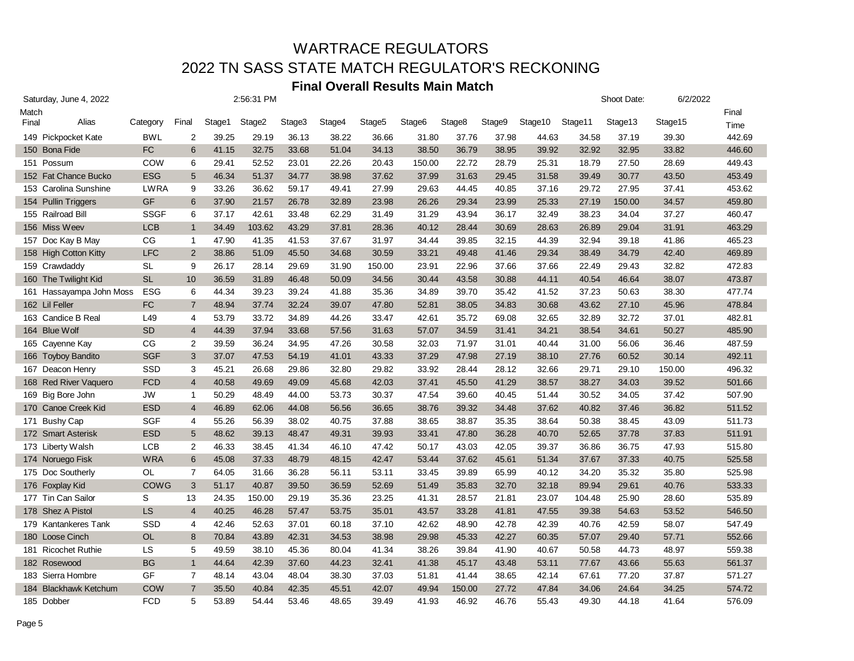|       | Saturday, June 4, 2022   |             |                 |        | 2:56:31 PM |        |        |                    |                    |        |        |         |         | Shoot Date: | 6/2/2022 |        |
|-------|--------------------------|-------------|-----------------|--------|------------|--------|--------|--------------------|--------------------|--------|--------|---------|---------|-------------|----------|--------|
| Match |                          |             |                 |        |            |        |        |                    |                    |        |        |         |         |             |          | Final  |
| Final | Alias                    | Category    | Final           | Stage1 | Stage2     | Stage3 | Stage4 | Stage <sub>5</sub> | Stage <sub>6</sub> | Stage8 | Stage9 | Stage10 | Stage11 | Stage13     | Stage15  | Time   |
|       | 149 Pickpocket Kate      | <b>BWL</b>  | 2               | 39.25  | 29.19      | 36.13  | 38.22  | 36.66              | 31.80              | 37.76  | 37.98  | 44.63   | 34.58   | 37.19       | 39.30    | 442.69 |
|       | 150 Bona Fide            | FC          | 6               | 41.15  | 32.75      | 33.68  | 51.04  | 34.13              | 38.50              | 36.79  | 38.95  | 39.92   | 32.92   | 32.95       | 33.82    | 446.60 |
|       | 151 Possum               | COW         | 6               | 29.41  | 52.52      | 23.01  | 22.26  | 20.43              | 150.00             | 22.72  | 28.79  | 25.31   | 18.79   | 27.50       | 28.69    | 449.43 |
|       | 152 Fat Chance Bucko     | <b>ESG</b>  | 5               | 46.34  | 51.37      | 34.77  | 38.98  | 37.62              | 37.99              | 31.63  | 29.45  | 31.58   | 39.49   | 30.77       | 43.50    | 453.49 |
|       | 153 Carolina Sunshine    | <b>LWRA</b> | 9               | 33.26  | 36.62      | 59.17  | 49.41  | 27.99              | 29.63              | 44.45  | 40.85  | 37.16   | 29.72   | 27.95       | 37.41    | 453.62 |
|       | 154 Pullin Triggers      | GF          | 6               | 37.90  | 21.57      | 26.78  | 32.89  | 23.98              | 26.26              | 29.34  | 23.99  | 25.33   | 27.19   | 150.00      | 34.57    | 459.80 |
|       | 155 Railroad Bill        | <b>SSGF</b> | 6               | 37.17  | 42.61      | 33.48  | 62.29  | 31.49              | 31.29              | 43.94  | 36.17  | 32.49   | 38.23   | 34.04       | 37.27    | 460.47 |
|       | 156 Miss Weev            | <b>LCB</b>  | $\mathbf{1}$    | 34.49  | 103.62     | 43.29  | 37.81  | 28.36              | 40.12              | 28.44  | 30.69  | 28.63   | 26.89   | 29.04       | 31.91    | 463.29 |
|       | 157 Doc Kay B May        | CG          | $\mathbf{1}$    | 47.90  | 41.35      | 41.53  | 37.67  | 31.97              | 34.44              | 39.85  | 32.15  | 44.39   | 32.94   | 39.18       | 41.86    | 465.23 |
|       | 158 High Cotton Kitty    | <b>LFC</b>  | 2               | 38.86  | 51.09      | 45.50  | 34.68  | 30.59              | 33.21              | 49.48  | 41.46  | 29.34   | 38.49   | 34.79       | 42.40    | 469.89 |
|       | 159 Crawdaddy            | <b>SL</b>   | 9               | 26.17  | 28.14      | 29.69  | 31.90  | 150.00             | 23.91              | 22.96  | 37.66  | 37.66   | 22.49   | 29.43       | 32.82    | 472.83 |
|       | 160 The Twilight Kid     | <b>SL</b>   | 10              | 36.59  | 31.89      | 46.48  | 50.09  | 34.56              | 30.44              | 43.58  | 30.88  | 44.11   | 40.54   | 46.64       | 38.07    | 473.87 |
|       | 161 Hassayampa John Moss | <b>ESG</b>  | 6               | 44.34  | 39.23      | 39.24  | 41.88  | 35.36              | 34.89              | 39.70  | 35.42  | 41.52   | 37.23   | 50.63       | 38.30    | 477.74 |
|       | 162 Lil Feller           | ${\sf FC}$  | $\overline{7}$  | 48.94  | 37.74      | 32.24  | 39.07  | 47.80              | 52.81              | 38.05  | 34.83  | 30.68   | 43.62   | 27.10       | 45.96    | 478.84 |
|       | 163 Candice B Real       | L49         | $\overline{4}$  | 53.79  | 33.72      | 34.89  | 44.26  | 33.47              | 42.61              | 35.72  | 69.08  | 32.65   | 32.89   | 32.72       | 37.01    | 482.81 |
|       | 164 Blue Wolf            | <b>SD</b>   | $\overline{4}$  | 44.39  | 37.94      | 33.68  | 57.56  | 31.63              | 57.07              | 34.59  | 31.41  | 34.21   | 38.54   | 34.61       | 50.27    | 485.90 |
|       | 165 Cayenne Kay          | CG          | 2               | 39.59  | 36.24      | 34.95  | 47.26  | 30.58              | 32.03              | 71.97  | 31.01  | 40.44   | 31.00   | 56.06       | 36.46    | 487.59 |
|       | 166 Toyboy Bandito       | <b>SGF</b>  | 3               | 37.07  | 47.53      | 54.19  | 41.01  | 43.33              | 37.29              | 47.98  | 27.19  | 38.10   | 27.76   | 60.52       | 30.14    | 492.11 |
|       | 167 Deacon Henry         | SSD         | 3               | 45.21  | 26.68      | 29.86  | 32.80  | 29.82              | 33.92              | 28.44  | 28.12  | 32.66   | 29.71   | 29.10       | 150.00   | 496.32 |
|       | 168 Red River Vaquero    | <b>FCD</b>  | $\overline{4}$  | 40.58  | 49.69      | 49.09  | 45.68  | 42.03              | 37.41              | 45.50  | 41.29  | 38.57   | 38.27   | 34.03       | 39.52    | 501.66 |
|       | 169 Big Bore John        | JW          | $\mathbf{1}$    | 50.29  | 48.49      | 44.00  | 53.73  | 30.37              | 47.54              | 39.60  | 40.45  | 51.44   | 30.52   | 34.05       | 37.42    | 507.90 |
|       | 170 Canoe Creek Kid      | <b>ESD</b>  | $\overline{4}$  | 46.89  | 62.06      | 44.08  | 56.56  | 36.65              | 38.76              | 39.32  | 34.48  | 37.62   | 40.82   | 37.46       | 36.82    | 511.52 |
|       | 171 Bushy Cap            | <b>SGF</b>  | 4               | 55.26  | 56.39      | 38.02  | 40.75  | 37.88              | 38.65              | 38.87  | 35.35  | 38.64   | 50.38   | 38.45       | 43.09    | 511.73 |
|       | 172 Smart Asterisk       | <b>ESD</b>  | $5\overline{5}$ | 48.62  | 39.13      | 48.47  | 49.31  | 39.93              | 33.41              | 47.80  | 36.28  | 40.70   | 52.65   | 37.78       | 37.83    | 511.91 |
|       | 173 Liberty Walsh        | <b>LCB</b>  | 2               | 46.33  | 38.45      | 41.34  | 46.10  | 47.42              | 50.17              | 43.03  | 42.05  | 39.37   | 36.86   | 36.75       | 47.93    | 515.80 |
|       | 174 Noruego Fisk         | <b>WRA</b>  | 6               | 45.08  | 37.33      | 48.79  | 48.15  | 42.47              | 53.44              | 37.62  | 45.61  | 51.34   | 37.67   | 37.33       | 40.75    | 525.58 |
|       | 175 Doc Southerly        | <b>OL</b>   | $\overline{7}$  | 64.05  | 31.66      | 36.28  | 56.11  | 53.11              | 33.45              | 39.89  | 65.99  | 40.12   | 34.20   | 35.32       | 35.80    | 525.98 |
|       | 176 Foxplay Kid          | <b>COWG</b> | 3               | 51.17  | 40.87      | 39.50  | 36.59  | 52.69              | 51.49              | 35.83  | 32.70  | 32.18   | 89.94   | 29.61       | 40.76    | 533.33 |
|       | 177 Tin Can Sailor       | S           | 13              | 24.35  | 150.00     | 29.19  | 35.36  | 23.25              | 41.31              | 28.57  | 21.81  | 23.07   | 104.48  | 25.90       | 28.60    | 535.89 |
|       | 178 Shez A Pistol        | <b>LS</b>   | $\overline{4}$  | 40.25  | 46.28      | 57.47  | 53.75  | 35.01              | 43.57              | 33.28  | 41.81  | 47.55   | 39.38   | 54.63       | 53.52    | 546.50 |
|       | 179 Kantankeres Tank     | <b>SSD</b>  | 4               | 42.46  | 52.63      | 37.01  | 60.18  | 37.10              | 42.62              | 48.90  | 42.78  | 42.39   | 40.76   | 42.59       | 58.07    | 547.49 |
|       | 180 Loose Cinch          | <b>OL</b>   | 8               | 70.84  | 43.89      | 42.31  | 34.53  | 38.98              | 29.98              | 45.33  | 42.27  | 60.35   | 57.07   | 29.40       | 57.71    | 552.66 |
|       | 181 Ricochet Ruthie      | LS          | 5               | 49.59  | 38.10      | 45.36  | 80.04  | 41.34              | 38.26              | 39.84  | 41.90  | 40.67   | 50.58   | 44.73       | 48.97    | 559.38 |
|       | 182 Rosewood             | <b>BG</b>   | $\mathbf{1}$    | 44.64  | 42.39      | 37.60  | 44.23  | 32.41              | 41.38              | 45.17  | 43.48  | 53.11   | 77.67   | 43.66       | 55.63    | 561.37 |
|       | 183 Sierra Hombre        | GF          | $\overline{7}$  | 48.14  | 43.04      | 48.04  | 38.30  | 37.03              | 51.81              | 41.44  | 38.65  | 42.14   | 67.61   | 77.20       | 37.87    | 571.27 |
|       | 184 Blackhawk Ketchum    | COW         | $\overline{7}$  | 35.50  | 40.84      | 42.35  | 45.51  | 42.07              | 49.94              | 150.00 | 27.72  | 47.84   | 34.06   | 24.64       | 34.25    | 574.72 |
|       | 185 Dobber               | <b>FCD</b>  | 5               | 53.89  | 54.44      | 53.46  | 48.65  | 39.49              | 41.93              | 46.92  | 46.76  | 55.43   | 49.30   | 44.18       | 41.64    | 576.09 |